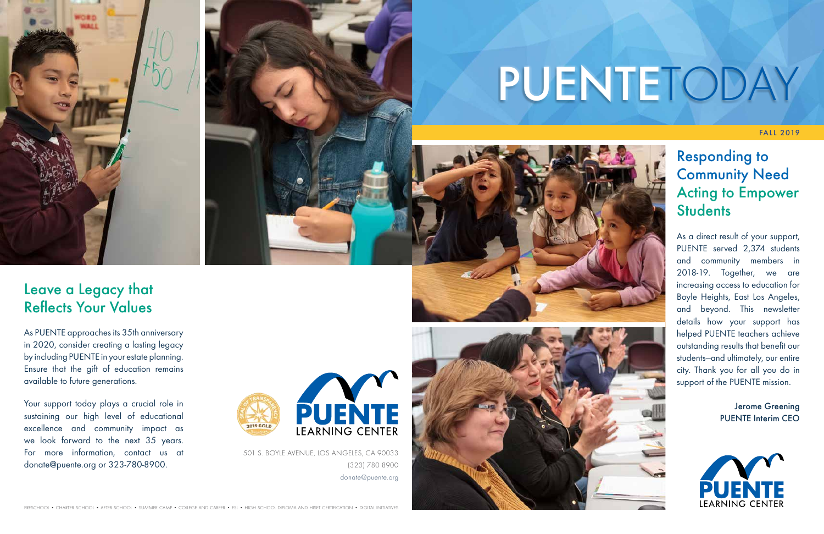FALL 2019

As a direct result of your support, PUENTE served 2,374 students and community members in 2018-19. Together, we are increasing access to education for Boyle Heights, East Los Angeles, and beyond. This newsletter details how your support has helped PUENTE teachers achieve outstanding results that benefit our students—and ultimately, our entire city. Thank you for all you do in support of the PUENTE mission.

# Responding to Community Need Acting to Empower **Students**

Jerome Greening PUENTE Interim CEO



Your support today plays a crucial role in sustaining our high level of educational excellence and community impact as we look forward to the next 35 years. For more information, contact us at donate@puente.org or 323-780-8900.



## Leave a Legacy that Reflects Your Values

As PUENTE approaches its 35th anniversary in 2020, consider creating a lasting legacy by including PUENTE in your estate planning. Ensure that the gift of education remains available to future generations.

501 S. BOYLE AVENUE, LOS ANGELES, CA 90033 (323) 780 8900 donate@puente.org









# PUENTETODAY